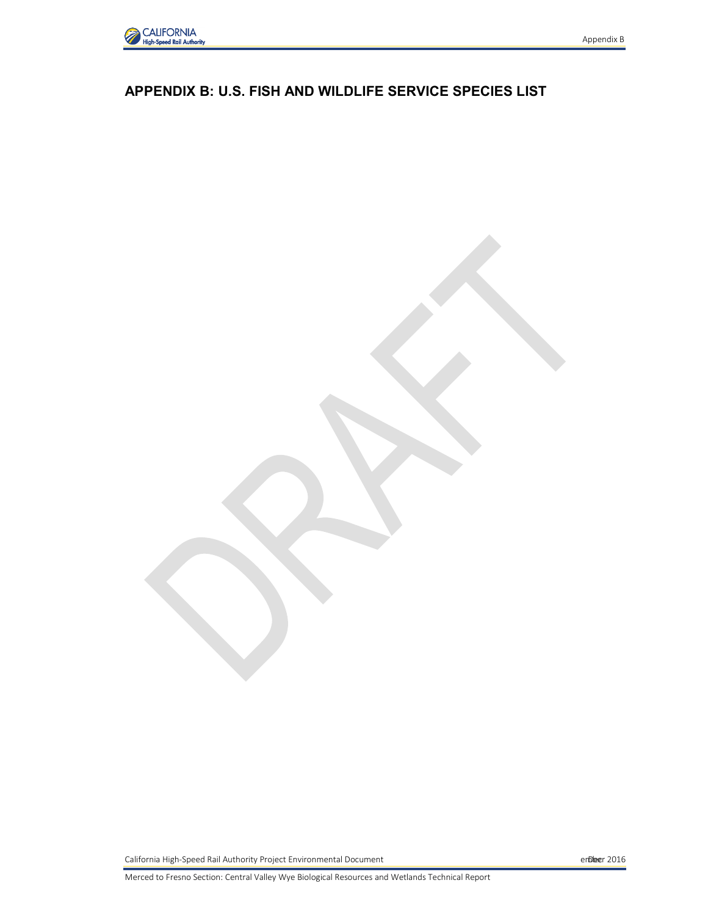

### **APPENDIX B: U.S. FISH AND WILDLIFE SERVICE SPECIES LIST**

California High-Speed Rail Authority Project Environmental Document ember 2016 Decrement ember 2016

Merced to Fresno Section: Central Valley Wye Biological Resources and Wetlands Technical Report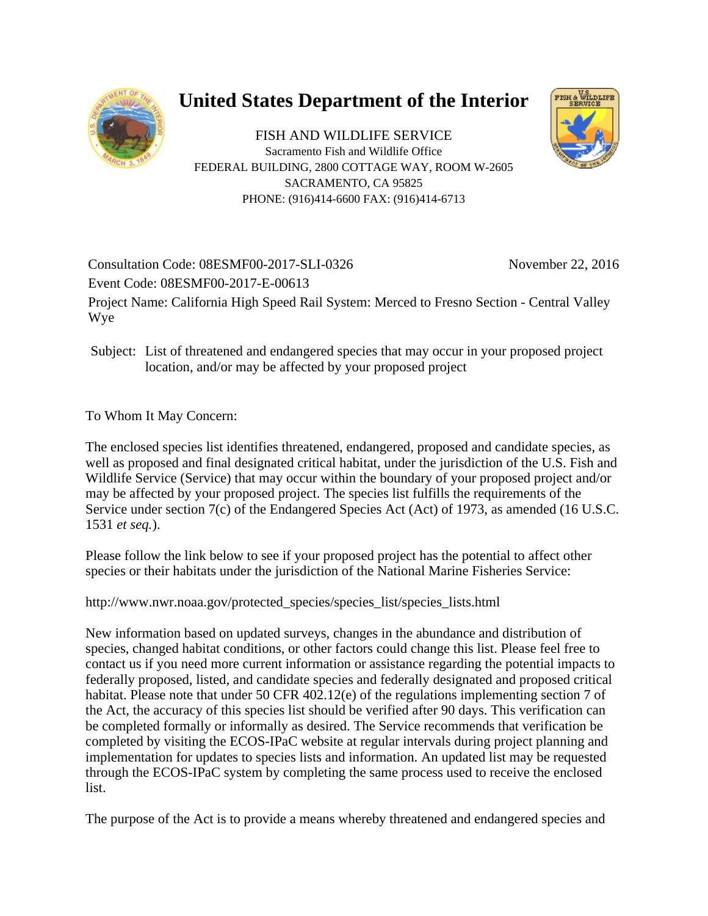

# **United States Department of the Interior**

FISH AND WILDLIFE SERVICE Sacramento Fish and Wildlife Office FEDERAL BUILDING, 2800 COTTAGE WAY, ROOM W-2605 SACRAMENTO, CA 95825 PHONE: (916)414-6600 FAX: (916)414-6713



Consultation Code: 08ESMF00-2017-SLI-0326 November 22, 2016 Event Code: 08ESMF00-2017-E-00613 Project Name: California High Speed Rail System: Merced to Fresno Section - Central Valley Wye

Subject: List of threatened and endangered species that may occur in your proposed project location, and/or may be affected by your proposed project

To Whom It May Concern:

The enclosed species list identifies threatened, endangered, proposed and candidate species, as well as proposed and final designated critical habitat, under the jurisdiction of the U.S. Fish and Wildlife Service (Service) that may occur within the boundary of your proposed project and/or may be affected by your proposed project. The species list fulfills the requirements of the Service under section 7(c) of the Endangered Species Act (Act) of 1973, as amended (16 U.S.C. 1531 *et seq.*).

Please follow the link below to see if your proposed project has the potential to affect other species or their habitats under the jurisdiction of the National Marine Fisheries Service:

http://www.nwr.noaa.gov/protected\_species/species\_list/species\_lists.html

New information based on updated surveys, changes in the abundance and distribution of species, changed habitat conditions, or other factors could change this list. Please feel free to contact us if you need more current information or assistance regarding the potential impacts to federally proposed, listed, and candidate species and federally designated and proposed critical habitat. Please note that under 50 CFR 402.12(e) of the regulations implementing section 7 of the Act, the accuracy of this species list should be verified after 90 days. This verification can be completed formally or informally as desired. The Service recommends that verification be completed by visiting the ECOS-IPaC website at regular intervals during project planning and implementation for updates to species lists and information. An updated list may be requested through the ECOS-IPaC system by completing the same process used to receive the enclosed list.

The purpose of the Act is to provide a means whereby threatened and endangered species and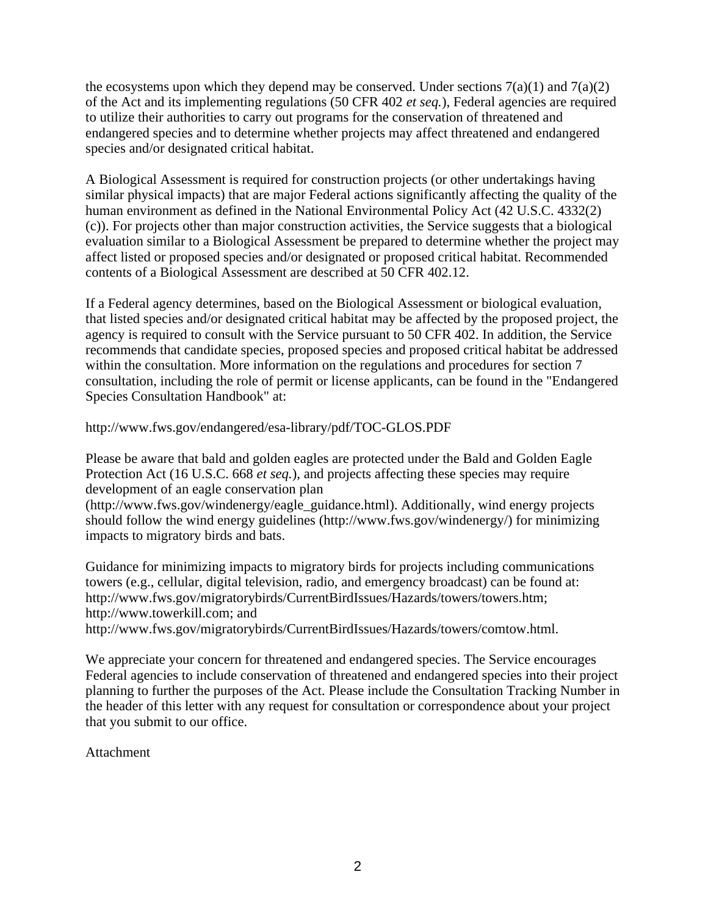the ecosystems upon which they depend may be conserved. Under sections  $7(a)(1)$  and  $7(a)(2)$ of the Act and its implementing regulations (50 CFR 402 *et seq.*), Federal agencies are required to utilize their authorities to carry out programs for the conservation of threatened and endangered species and to determine whether projects may affect threatened and endangered species and/or designated critical habitat.

A Biological Assessment is required for construction projects (or other undertakings having similar physical impacts) that are major Federal actions significantly affecting the quality of the human environment as defined in the National Environmental Policy Act (42 U.S.C. 4332(2) (c)). For projects other than major construction activities, the Service suggests that a biological evaluation similar to a Biological Assessment be prepared to determine whether the project may affect listed or proposed species and/or designated or proposed critical habitat. Recommended contents of a Biological Assessment are described at 50 CFR 402.12.

If a Federal agency determines, based on the Biological Assessment or biological evaluation, that listed species and/or designated critical habitat may be affected by the proposed project, the agency is required to consult with the Service pursuant to 50 CFR 402. In addition, the Service recommends that candidate species, proposed species and proposed critical habitat be addressed within the consultation. More information on the regulations and procedures for section 7 consultation, including the role of permit or license applicants, can be found in the "Endangered Species Consultation Handbook" at:

http://www.fws.gov/endangered/esa-library/pdf/TOC-GLOS.PDF

Please be aware that bald and golden eagles are protected under the Bald and Golden Eagle Protection Act (16 U.S.C. 668 *et seq.*), and projects affecting these species may require development of an eagle conservation plan

(http://www.fws.gov/windenergy/eagle\_guidance.html). Additionally, wind energy projects should follow the wind energy guidelines (http://www.fws.gov/windenergy/) for minimizing impacts to migratory birds and bats.

Guidance for minimizing impacts to migratory birds for projects including communications towers (e.g., cellular, digital television, radio, and emergency broadcast) can be found at: http://www.fws.gov/migratorybirds/CurrentBirdIssues/Hazards/towers/towers.htm; http://www.towerkill.com; and http://www.fws.gov/migratorybirds/CurrentBirdIssues/Hazards/towers/comtow.html.

We appreciate your concern for threatened and endangered species. The Service encourages Federal agencies to include conservation of threatened and endangered species into their project planning to further the purposes of the Act. Please include the Consultation Tracking Number in the header of this letter with any request for consultation or correspondence about your project that you submit to our office.

#### Attachment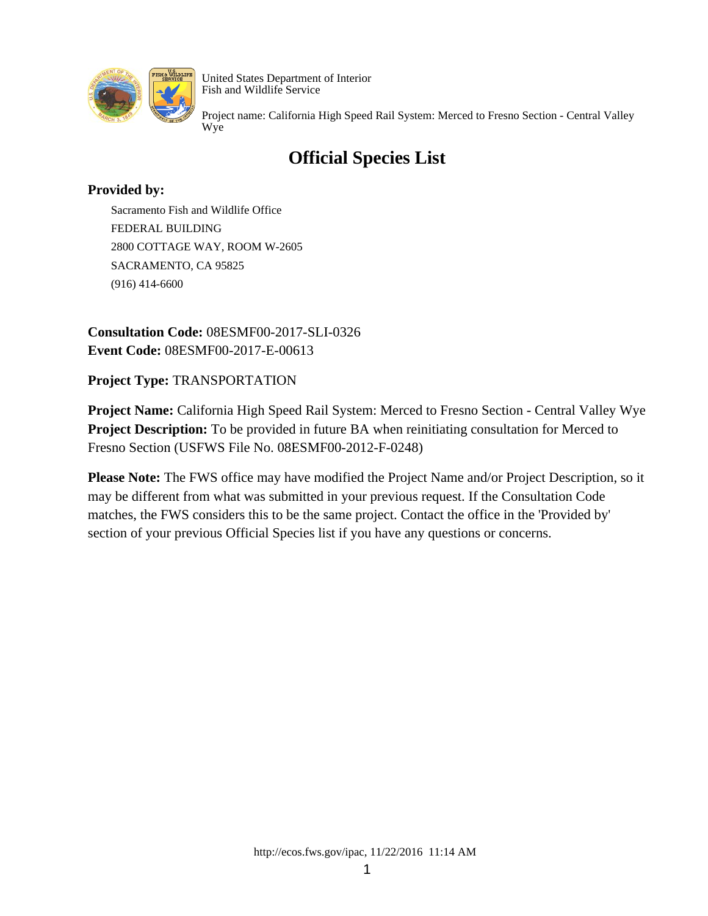

Project name: California High Speed Rail System: Merced to Fresno Section - Central Valley Wye

### **Official Species List**

### **Provided by:**

Sacramento Fish and Wildlife Office FEDERAL BUILDING 2800 COTTAGE WAY, ROOM W-2605 SACRAMENTO, CA 95825 (916) 414-6600

**Consultation Code:** 08ESMF00-2017-SLI-0326 **Event Code:** 08ESMF00-2017-E-00613

**Project Type:** TRANSPORTATION

**Project Name:** California High Speed Rail System: Merced to Fresno Section - Central Valley Wye **Project Description:** To be provided in future BA when reinitiating consultation for Merced to Fresno Section (USFWS File No. 08ESMF00-2012-F-0248)

**Please Note:** The FWS office may have modified the Project Name and/or Project Description, so it may be different from what was submitted in your previous request. If the Consultation Code matches, the FWS considers this to be the same project. Contact the office in the 'Provided by' section of your previous Official Species list if you have any questions or concerns.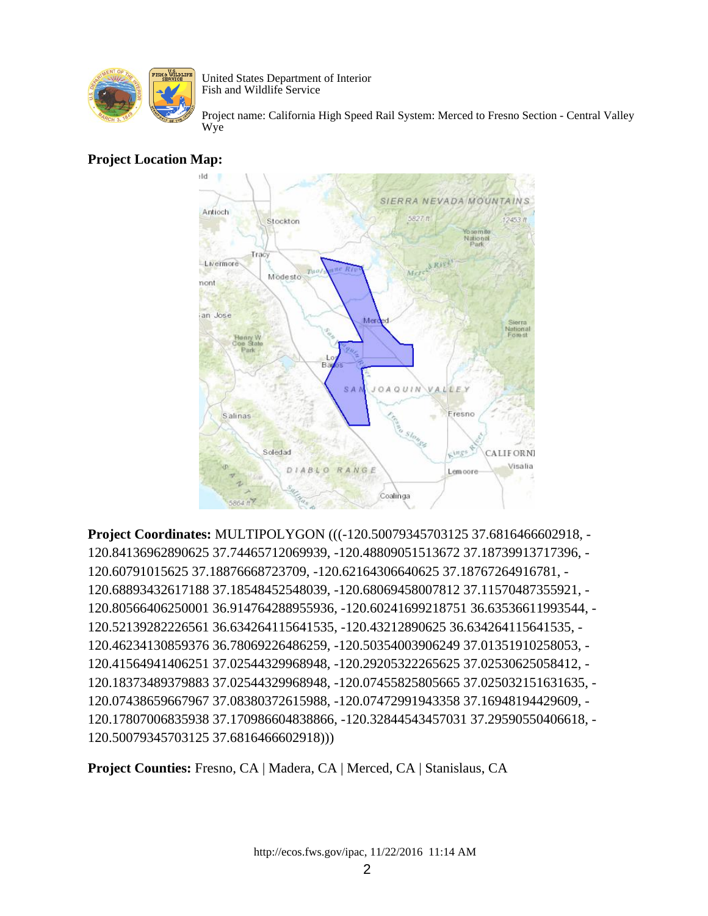

Project name: California High Speed Rail System: Merced to Fresno Section - Central Valley Wye

### **Project Location Map:**



**Project Coordinates:** MULTIPOLYGON (((-120.50079345703125 37.6816466602918, - 120.84136962890625 37.74465712069939, -120.48809051513672 37.18739913717396, - 120.60791015625 37.18876668723709, -120.62164306640625 37.18767264916781, - 120.68893432617188 37.18548452548039, -120.68069458007812 37.11570487355921, - 120.80566406250001 36.914764288955936, -120.60241699218751 36.63536611993544, - 120.52139282226561 36.634264115641535, -120.43212890625 36.634264115641535, - 120.46234130859376 36.78069226486259, -120.50354003906249 37.01351910258053, - 120.41564941406251 37.02544329968948, -120.29205322265625 37.02530625058412, - 120.18373489379883 37.02544329968948, -120.07455825805665 37.025032151631635, - 120.07438659667967 37.08380372615988, -120.07472991943358 37.16948194429609, - 120.17807006835938 37.170986604838866, -120.32844543457031 37.29590550406618, - 120.50079345703125 37.6816466602918)))

**Project Counties:** Fresno, CA | Madera, CA | Merced, CA | Stanislaus, CA

http://ecos.fws.gov/ipac, 11/22/2016 11:14 AM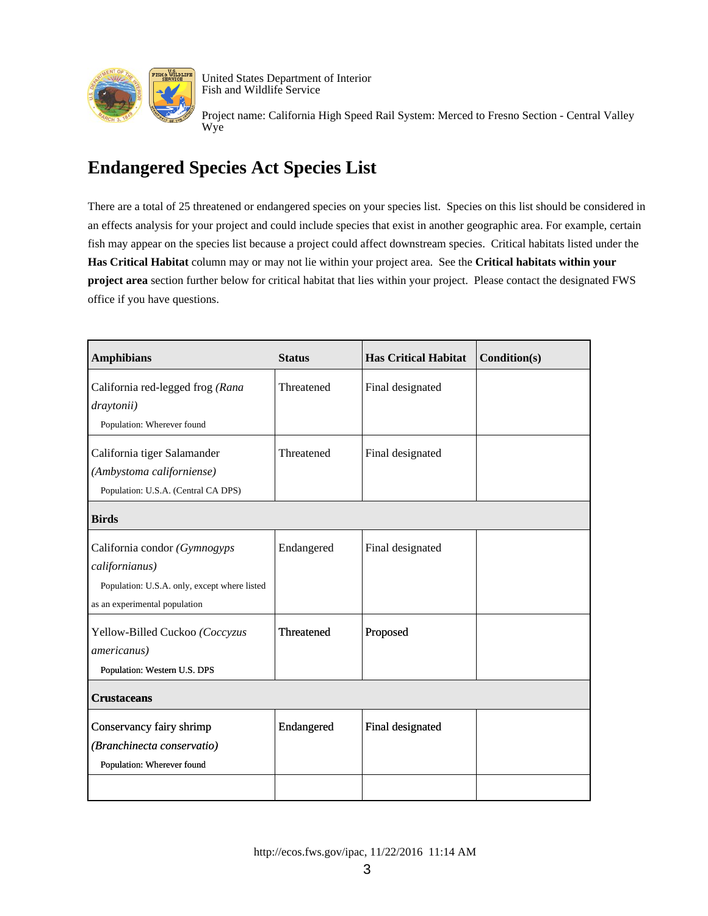

Project name: California High Speed Rail System: Merced to Fresno Section - Central Valley Wye

### **Endangered Species Act Species List**

There are a total of 25 threatened or endangered species on your species list. Species on this list should be considered in an effects analysis for your project and could include species that exist in another geographic area. For example, certain fish may appear on the species list because a project could affect downstream species. Critical habitats listed under the **Has Critical Habitat** column may or may not lie within your project area. See the **Critical habitats within your project area** section further below for critical habitat that lies within your project. Please contact the designated FWS office if you have questions.

| <b>Amphibians</b>                            | <b>Status</b> | <b>Has Critical Habitat</b> | Condition(s) |
|----------------------------------------------|---------------|-----------------------------|--------------|
| California red-legged frog (Rana             | Threatened    | Final designated            |              |
| draytonii)                                   |               |                             |              |
| Population: Wherever found                   |               |                             |              |
| California tiger Salamander                  | Threatened    | Final designated            |              |
| (Ambystoma californiense)                    |               |                             |              |
| Population: U.S.A. (Central CA DPS)          |               |                             |              |
| <b>Birds</b>                                 |               |                             |              |
| California condor (Gymnogyps                 | Endangered    | Final designated            |              |
| californianus)                               |               |                             |              |
| Population: U.S.A. only, except where listed |               |                             |              |
| as an experimental population                |               |                             |              |
| Yellow-Billed Cuckoo (Coccyzus               | Threatened    | Proposed                    |              |
| americanus)                                  |               |                             |              |
| Population: Western U.S. DPS                 |               |                             |              |
| <b>Crustaceans</b>                           |               |                             |              |
| Conservancy fairy shrimp                     | Endangered    | Final designated            |              |
| (Branchinecta conservatio)                   |               |                             |              |
| Population: Wherever found                   |               |                             |              |
|                                              |               |                             |              |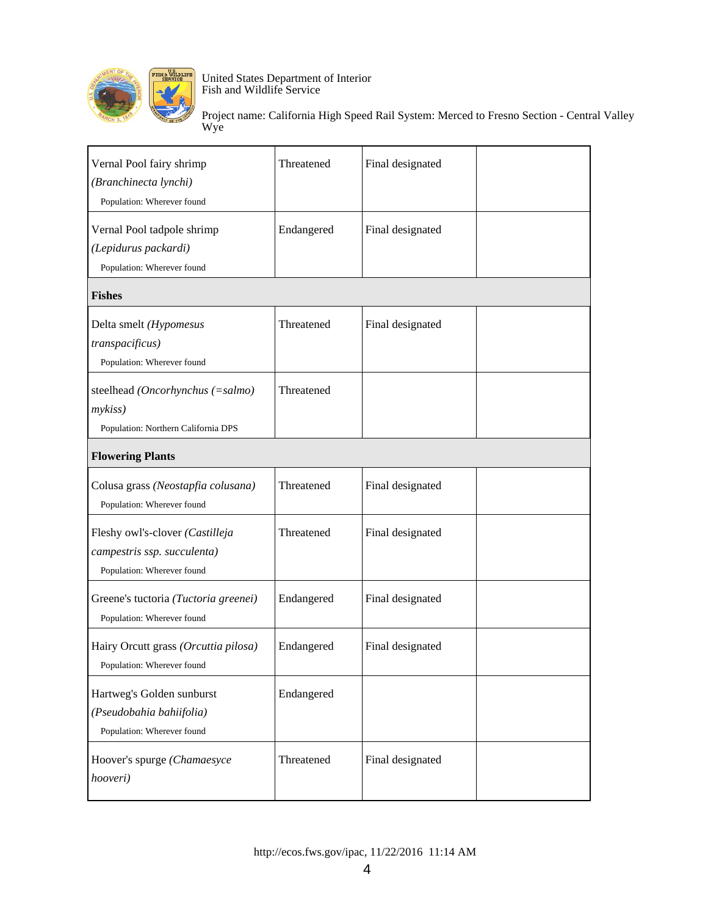

| Vernal Pool fairy shrimp<br>(Branchinecta lynchi)<br>Population: Wherever found              | Threatened | Final designated |  |
|----------------------------------------------------------------------------------------------|------------|------------------|--|
| Vernal Pool tadpole shrimp<br>(Lepidurus packardi)<br>Population: Wherever found             | Endangered | Final designated |  |
| <b>Fishes</b>                                                                                |            |                  |  |
| Delta smelt (Hypomesus<br>transpacificus)<br>Population: Wherever found                      | Threatened | Final designated |  |
| steelhead (Oncorhynchus (=salmo)<br>mykiss)<br>Population: Northern California DPS           | Threatened |                  |  |
| <b>Flowering Plants</b>                                                                      |            |                  |  |
| Colusa grass (Neostapfia colusana)<br>Population: Wherever found                             | Threatened | Final designated |  |
| Fleshy owl's-clover (Castilleja<br>campestris ssp. succulenta)<br>Population: Wherever found | Threatened | Final designated |  |
| Greene's tuctoria (Tuctoria greenei)<br>Population: Wherever found                           | Endangered | Final designated |  |
| Hairy Orcutt grass (Orcuttia pilosa)<br>Population: Wherever found                           | Endangered | Final designated |  |
| Hartweg's Golden sunburst<br>(Pseudobahia bahiifolia)<br>Population: Wherever found          | Endangered |                  |  |
| Hoover's spurge (Chamaesyce<br>hooveri)                                                      | Threatened | Final designated |  |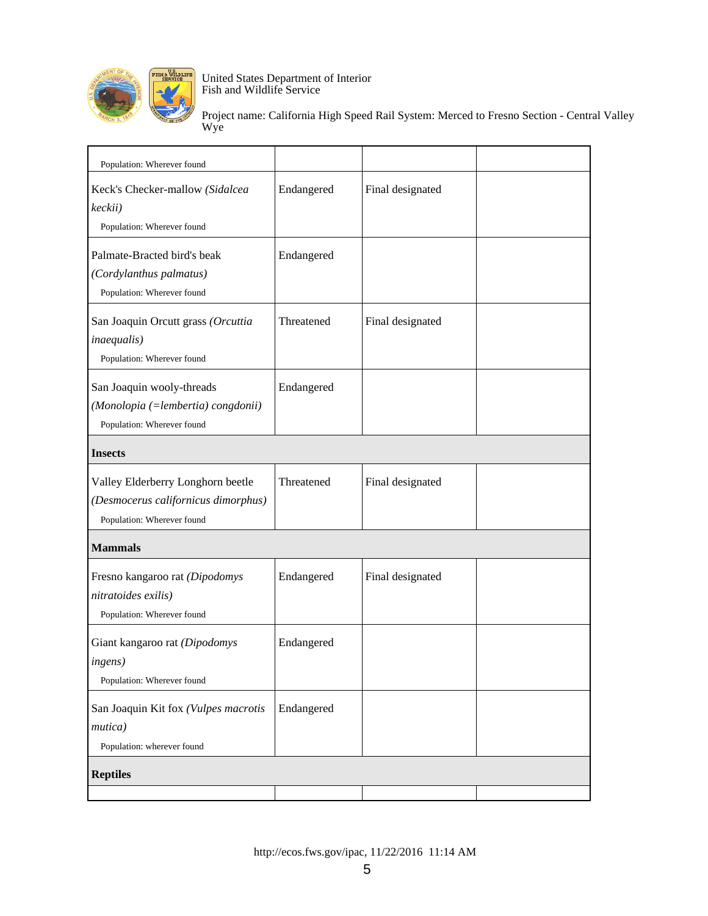

| Population: Wherever found                                                                             |            |                  |  |
|--------------------------------------------------------------------------------------------------------|------------|------------------|--|
| Keck's Checker-mallow (Sidalcea<br>keckii)<br>Population: Wherever found                               | Endangered | Final designated |  |
| Palmate-Bracted bird's beak<br>(Cordylanthus palmatus)<br>Population: Wherever found                   | Endangered |                  |  |
| San Joaquin Orcutt grass (Orcuttia<br><i>inaequalis</i> )<br>Population: Wherever found                | Threatened | Final designated |  |
| San Joaquin wooly-threads<br>(Monolopia (=lembertia) congdonii)<br>Population: Wherever found          | Endangered |                  |  |
| <b>Insects</b>                                                                                         |            |                  |  |
| Valley Elderberry Longhorn beetle<br>(Desmocerus californicus dimorphus)<br>Population: Wherever found | Threatened | Final designated |  |
| <b>Mammals</b>                                                                                         |            |                  |  |
| Fresno kangaroo rat (Dipodomys<br>nitratoides exilis)<br>Population: Wherever found                    | Endangered | Final designated |  |
| Giant kangaroo rat (Dipodomys<br><i>ingens</i> )<br>Population: Wherever found                         | Endangered |                  |  |
| San Joaquin Kit fox (Vulpes macrotis<br>mutica)<br>Population: wherever found                          | Endangered |                  |  |
| <b>Reptiles</b>                                                                                        |            |                  |  |
|                                                                                                        |            |                  |  |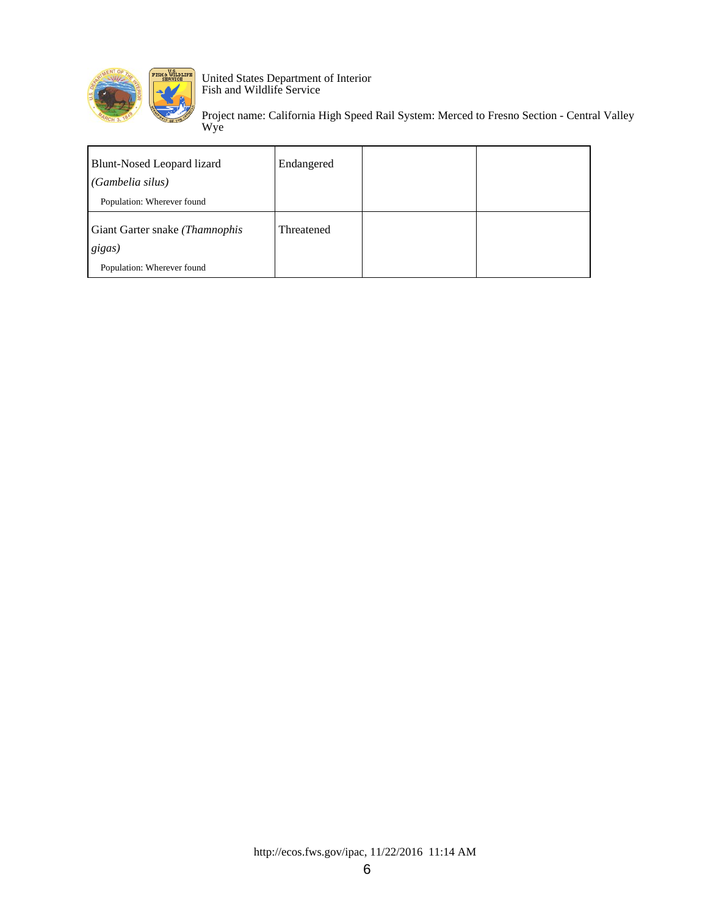

| Blunt-Nosed Leopard lizard<br>(Gambelia silus) | Endangered |  |
|------------------------------------------------|------------|--|
| Population: Wherever found                     |            |  |
|                                                | Threatened |  |
| Giant Garter snake (Thamnophis<br>gigas)       |            |  |
| Population: Wherever found                     |            |  |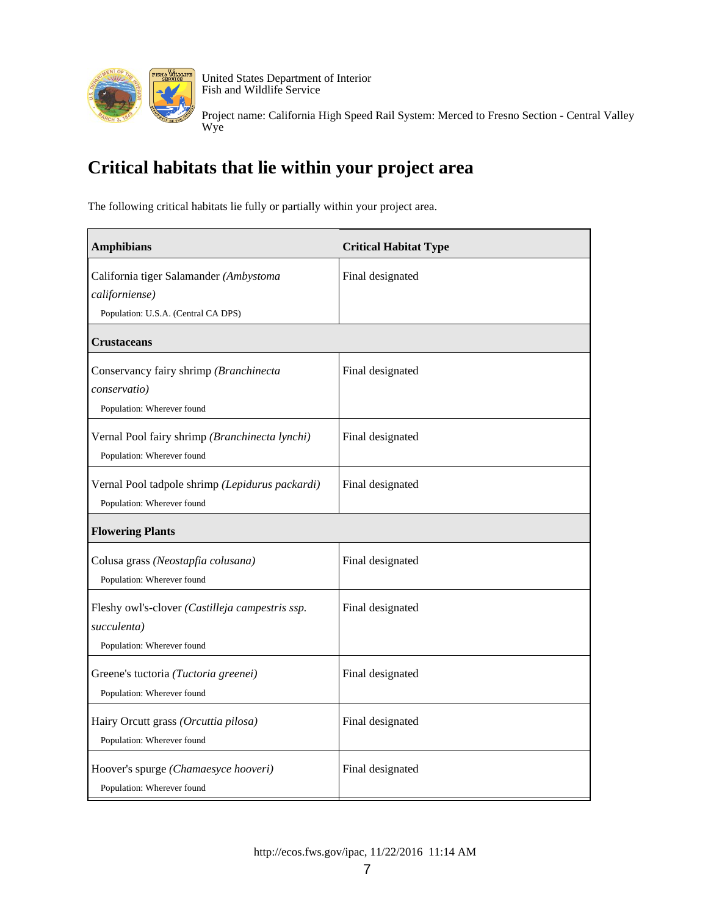

Project name: California High Speed Rail System: Merced to Fresno Section - Central Valley Wye

## **Critical habitats that lie within your project area**

The following critical habitats lie fully or partially within your project area.

| <b>Amphibians</b>                                                                               | <b>Critical Habitat Type</b> |
|-------------------------------------------------------------------------------------------------|------------------------------|
| California tiger Salamander (Ambystoma<br>californiense)<br>Population: U.S.A. (Central CA DPS) | Final designated             |
| Crustaceans                                                                                     |                              |
| Conservancy fairy shrimp (Branchinecta<br>conservatio)<br>Population: Wherever found            | Final designated             |
| Vernal Pool fairy shrimp (Branchinecta lynchi)<br>Population: Wherever found                    | Final designated             |
| Vernal Pool tadpole shrimp (Lepidurus packardi)<br>Population: Wherever found                   | Final designated             |
| <b>Flowering Plants</b>                                                                         |                              |
| Colusa grass (Neostapfia colusana)<br>Population: Wherever found                                | Final designated             |
| Fleshy owl's-clover (Castilleja campestris ssp.<br>succulenta)<br>Population: Wherever found    | Final designated             |
| Greene's tuctoria (Tuctoria greenei)<br>Population: Wherever found                              | Final designated             |
| Hairy Orcutt grass (Orcuttia pilosa)<br>Population: Wherever found                              | Final designated             |
| Hoover's spurge (Chamaesyce hooveri)<br>Population: Wherever found                              | Final designated             |